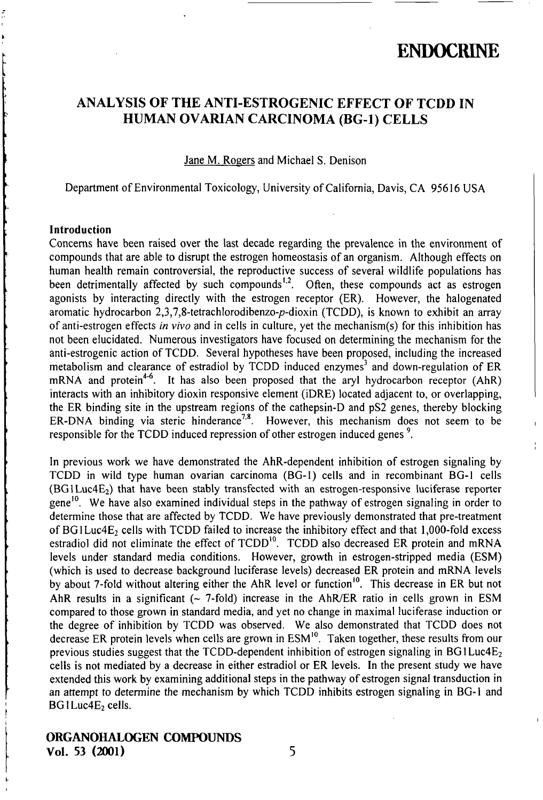### ANALYSIS OF THE ANTI-ESTROGENIC EFFECT OF TCDD IN HUMAN OVARIAN CARCINOMA (BG-1) CELLS

Jane M. Rogers and Michael S. Denison

Department of Environmental Toxicology, University of Califomia, Davis, CA 95616 USA

#### Introduction

Concems have been raised over the last decade regarding the prevalence in the environment of compounds that are able to disrupt the estrogen homeostasis of an organism. Although effects on human health remain controversial, the reproductive success of several wildlife populations has been detrimentally affected by such compounds<sup>1,2</sup>. Often, these compounds act as estrogen agonists by interacting directly with the estrogen receptor (ER). However, the halogenated aromatic hydrocarbon 2,3,7,8-tetrachlorodibenzo-p-dioxin (TCDD), is known to exhibit an array of anti-estrogen effects in vivo and in cells in culture, yet the mechanism(s) for this inhibition has not been elucidated. Numerous investigators have focused on determining the mechanism for the anti-estrogenic action of TCDD. Several hypotheses have been proposed, including the increased metabolism and clearance of estradiol by TCDD induced enzymes' and down-regulation of ER mRNA and protein<sup>4-6</sup>. It has also been proposed that the aryl hydrocarbon receptor (AhR) interacts with an inhibitory dioxin responsive element (iDRE) located adjacent to, or overlapping, the ER binding site in the upstream regions of the cathepsin-D and pS2 genes, thereby blocking ER-DNA binding via steric hinderance<sup>7,8</sup>. However, this mechanism does not seem to be responsible for the TCDD induced repression of other estrogen induced genes<sup>9</sup>.

In previous work we have demonsfrated the AhR-dependent inhibition of estrogen signaling by TCDD in wild type human ovarian carcinoma (BG-1) cells and in recombinant BG-1 cells (BGILUC4E2) that have been stably transfected with an estrogen-responsive luciferase reporter gene<sup>10</sup>. We have also examined individual steps in the pathway of estrogen signaling in order to determine those that are affected by TCDD. We have previously demonstrated that pre-treatment of BGILuc4E<sub>2</sub> cells with TCDD failed to increase the inhibitory effect and that 1,000-fold excess estradiol did not eliminate the effect of TCDD<sup>10</sup>. TCDD also decreased ER protein and mRNA levels under standard media conditions. However, growth in estrogen-stripped media (ESM) (which is used to decrease background luciferase levels) decreased ER protein and mRNA levels by about 7-fold without altering either the AhR level or function<sup>10</sup>. This decrease in ER but not AhR results in a significant ( $\sim$  7-fold) increase in the AhR/ER ratio in cells grown in ESM compared to those grown in standard media, and yet no change in maximal luciferase induction or the degree of inhibition by TCDD was observed. We also demonstrated that TCDD does not decrease ER protein levels when cells are grown in ESM<sup>10</sup>. Taken together, these results from our previous studies suggest that the TCDD-dependent inhibition of estrogen signaling in BG1Luc4E<sub>2</sub> cells is not mediated by a decrease in either estradiol or ER levels. In the present study we have extended this work by examining additional steps in the pathway of estrogen signal transduction in an attempt to determine the mechanism by which TCDD inhibits estrogen signaling in BG-1 and  $BGLuc4E<sub>2</sub>$  cells.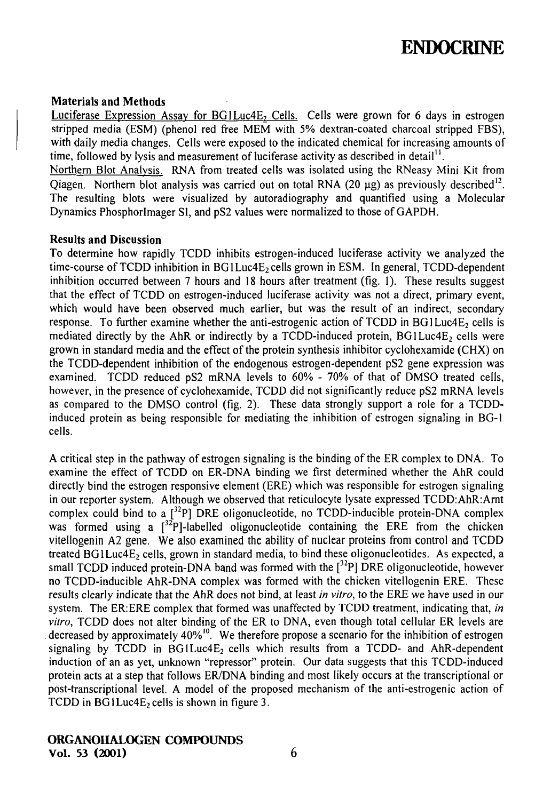#### Materials and Methods

Luciferase Expression Assay for BG1Luc4E, Cells. Cells were grown for 6 days in estrogen stripped media (ESM) (phenol red free MEM with 5% dextran-coated charcoal stripped FBS), with daily media changes. Cells were exposed to the indicated chemical for increasing amounts of time, followed by lysis and measurement of luciferase activity as described in detail".

Northem Blot Analvsis. RNA from treated cells was isolated using the RNeasy Mini Kit from Qiagen. Northern blot analysis was carried out on total RNA (20  $\mu$ g) as previously described<sup>12</sup>. The resulting blots were visualized by autoradiography and quantified using a Molecular Dynamics Phosphorlmager Sl, and pS2 values were normalized to those of GAPDH.

#### Results and Discussion

To determine how rapidly TCDD inhibits esfrogen-induced luciferase activity we analyzed the time-course of TCDD inhibition in BG1Luc4E<sub>2</sub> cells grown in ESM. In general, TCDD-dependent inhibition occurred between 7 hours and 18 hours after treatment (fig. 1). These results suggest that the effect of TCDD on estrogen-induced luciferase activity was not a direct, primary event, which would have been observed much earlier, but was the result of an indirect, secondary response. To further examine whether the anti-estrogenic action of TCDD in BG1Luc4E<sub>2</sub> cells is mediated directly by the AhR or indirectly by a TCDD-induced protein,  $BGLuc4E<sub>2</sub>$  cells were grown in standard media and the effect of the protein synthesis inhibitor cyclohexamide (CHX) on the TCDD-dependent inhibition of the endogenous estrogen-dependent pS2 gene expression was examined. TCDD reduced pS2 mRNA levels to 60% - 70% of that of DMSO treated cells, however, in the presence of cyclohexamide, TCDD did not significantly reduce pS2 mRNA levels as compared to the DMSO control (fig. 2). These data strongly support a role for a TCDDinduced protein as being responsible for mediating the inhibition of estrogen signaling in BG-1 cells.

A critical step in the pathway of estrogen signaling is the binding of the ER complex to DNA. To examine the effect of TCDD on ER-DNA binding we first determined whether the AhR could directly bind the estrogen responsive element (ERE) which was responsible for estrogen signaling in our reporter system. Although we observed that reticulocyte lysate expressed TCDD:AhR:Amt complex could bind to a  $[132P]$  DRE oligonucleotide, no TCDD-inducible protein-DNA complex was formed using a  $\int^{32}P$ ]-labelled oligonucleotide containing the ERE from the chicken vitellogenin A2 gene. We also examined the ability of nuclear proteins from control and TCDD treated  $BGLuc4E<sub>2</sub>$  cells, grown in standard media, to bind these oligonucleotides. As expected, a small TCDD induced protein-DNA band was formed with the  $\binom{32}{1}$  DRE oligonucleotide, however no TCDD-inducible AhR-DNA complex was formed with the chicken vitellogenin ERE. These results clearly indicate that the AhR does not bind, at least in vitro, to the ERE we have used in our system. The ER:ERE complex that formed was unaffected by TCDD treatment, indicating that, in vitro, TCDD does not alter binding of the ER to DNA, even though total cellular ER levels are decreased by approximately 40%<sup>10</sup>. We therefore propose a scenario for the inhibition of estrogen signaling by TCDD in  $BGLuc4E<sub>2</sub>$  cells which results from a TCDD- and AhR-dependent induction of an as yet, unknown "repressor" protein. Our data suggests that this TCDD-induced protein acts at a step that follows ER/DNA binding and most likely occurs at the transcriptional or post-transcriptional level. A model of the proposed mechanism of the anti-estrogenic action of TCDD in  $BGLuc4E_2$  cells is shown in figure 3.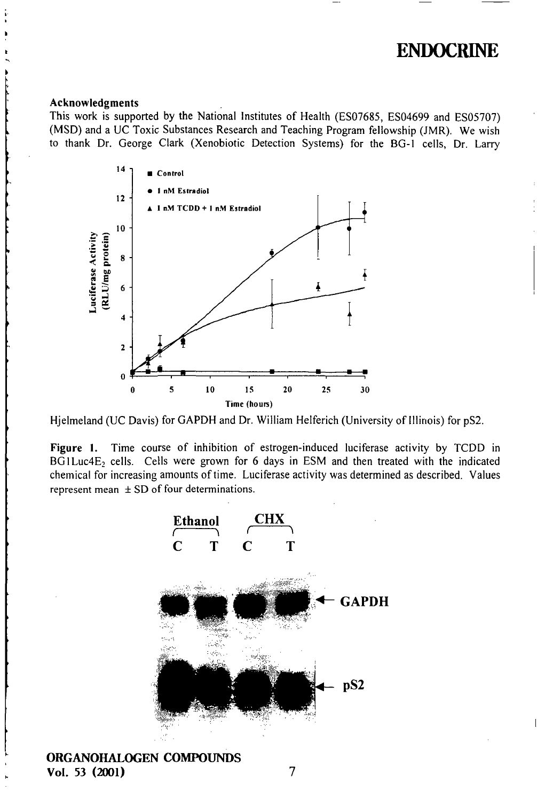#### Acknowledgments

This work is supported by the National Institutes of Health (ES07685, ES04699 and ES05707) (MSD) and a UC Toxic Substances Research and Teaching Program fellowship (JMR). We wish to thank Dr. George Clark (Xenobiotic Detection Systems) for the BG-1 cells. Dr. Larry



Hjelmeland (UC Davis) for GAPDH and Dr. William Helferich (University of Illinois) for pS2.

Figure 1. Time course of inhibition of estrogen-induced luciferase activity by TCDD in BG1Luc4E<sub>2</sub> cells. Cells were grown for 6 days in ESM and then treated with the indicated chemical for increasing amounts of time. Luciferase activity was determined as described. Values represent mean  $\pm$  SD of four determinations.

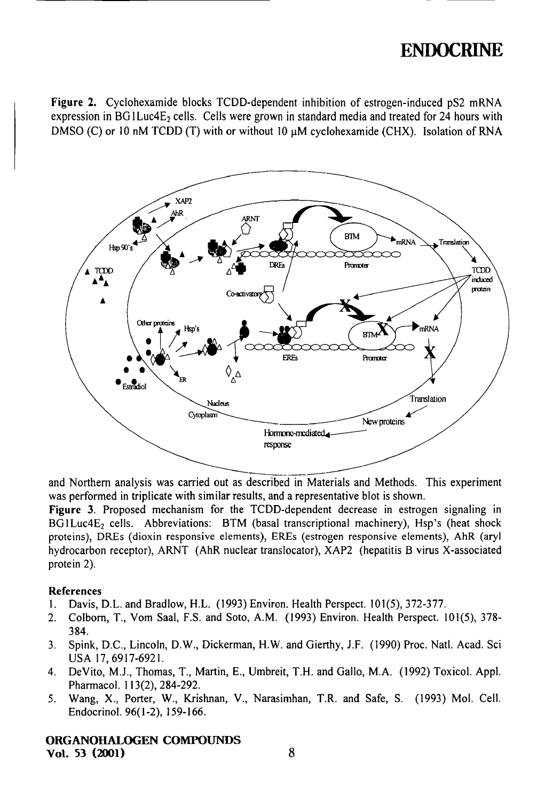Figure 2. Cyclohexamide blocks TCDD-dependent inhibition of estrogen-induced pS2 mRNA expression in BG1Luc4E<sub>2</sub> cells. Cells were grown in standard media and treated for 24 hours with DMSO (C) or 10 nM TCDD (T) with or without 10  $\mu$ M cyclohexamide (CHX). Isolation of RNA



and Northem analysis was cartied out as described in Materials and Methods. This experiment was performed in triplicate with similar results, and a representative blot is shown.

Figure 3. Proposed mechanism for the TCDD-dependent decrease in estrogen signaling in BG1Luc4E<sub>2</sub> cells. Abbreviations: BTM (basal transcriptional machinery), Hsp's (heat shock proteins), DREs (dioxin responsive elements), EREs (estrogen responsive elements), AhR (aryl hydrocarbon receptor), ARNT (AhR nuclear translocator), XAP2 (hepatitis B virus X-associated protein 2).

#### References

- 1. Davis, D.L. and Bradlow, H.L. (1993) Environ. Health Perspect. 101(5), 372-377.
- 2. Colbom, T., Vom Saai, F.S. and Soto, A.M. (1993) Environ. Health Perspect. 101(5), 378- 384.
- 3. Spink, D.C, Lincoln, D.W., Dickerman, H.W. and Gierthy, J.F. (1990) Proc. Natl. Acad. Sci USA 17,6917-6921.
- 4. DeVito, M.J., Thomas, T., Martin, E., Umbreit, T.H. and Gallo, M.A. (1992) Toxicol. Appl. Pharmacol. 113(2), 284-292.
- 5. Wang, X., Porter, W., Krishnan, V., Narasimhan, T.R. and Safe, S. (1993) Mol. Cell. Endocrinol. 96(1-2), 159-166.